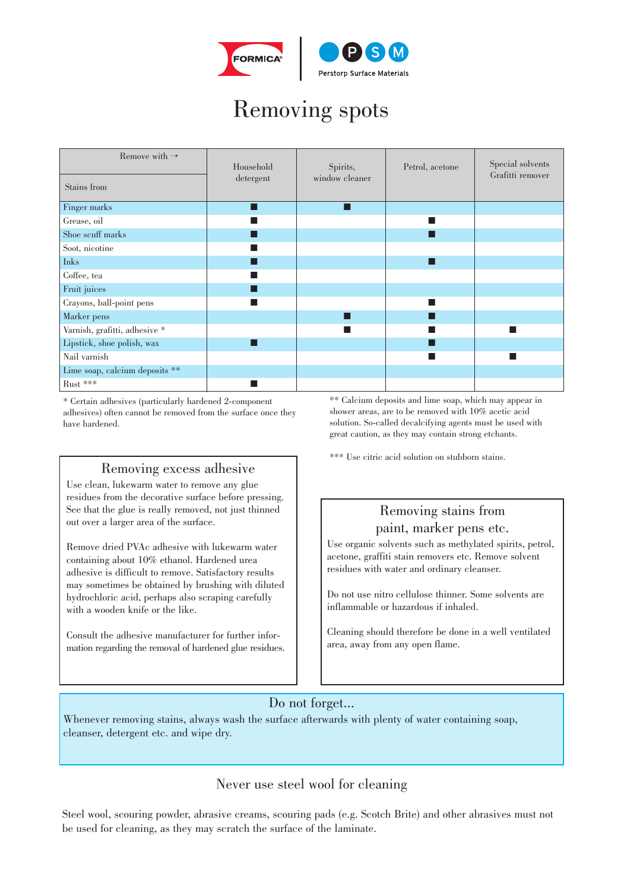

# Removing spots

| Remove with $\rightarrow$      | Household | Spirits,       | Petrol, acetone | Special solvents<br>Grafitti remover |
|--------------------------------|-----------|----------------|-----------------|--------------------------------------|
| Stains from                    | detergent | window cleaner |                 |                                      |
| Finger marks                   |           |                |                 |                                      |
| Grease, oil                    |           |                |                 |                                      |
| Shoe scuff marks               |           |                |                 |                                      |
| Soot, nicotine                 |           |                |                 |                                      |
| <b>Inks</b>                    |           |                |                 |                                      |
| Coffee, tea                    |           |                |                 |                                      |
| Fruit juices                   |           |                |                 |                                      |
| Crayons, ball-point pens       |           |                |                 |                                      |
| Marker pens                    |           |                |                 |                                      |
| Varnish, grafitti, adhesive *  |           |                |                 |                                      |
| Lipstick, shoe polish, wax     |           |                |                 |                                      |
| Nail varnish                   |           |                |                 |                                      |
| Lime soap, calcium deposits ** |           |                |                 |                                      |
| $\mathrm{Rust}$ ***            |           |                |                 |                                      |

\* Certain adhesives (particularly hardened 2-component adhesives) often cannot be removed from the surface once they have hardened.

### Removing excess adhesive

Use clean, lukewarm water to remove any glue residues from the decorative surface before pressing. See that the glue is really removed, not just thinned out over a larger area of the surface.

Remove dried PVAc adhesive with lukewarm water containing about 10% ethanol. Hardened urea adhesive is difficult to remove. Satisfactory results may sometimes be obtained by brushing with diluted hydrochloric acid, perhaps also scraping carefully with a wooden knife or the like.

Consult the adhesive manufacturer for further information regarding the removal of hardened glue residues. \*\* Calcium deposits and lime soap, which may appear in shower areas, are to be removed with 10% acetic acid solution. So-called decalcifying agents must be used with great caution, as they may contain strong etchants.

\*\*\* Use citric acid solution on stubborn stains.

## Removing stains from

### paint, marker pens etc.

Use organic solvents such as methylated spirits, petrol, acetone, graffiti stain removers etc. Remove solvent residues with water and ordinary cleanser.

Do not use nitro cellulose thinner. Some solvents are inflammable or hazardous if inhaled.

Cleaning should therefore be done in a well ventilated area, away from any open flame.

### Do not forget...

Whenever removing stains, always wash the surface afterwards with plenty of water containing soap, cleanser, detergent etc. and wipe dry.

### Never use steel wool for cleaning

Steel wool, scouring powder, abrasive creams, scouring pads (e.g. Scotch Brite) and other abrasives must not be used for cleaning, as they may scratch the surface of the laminate.